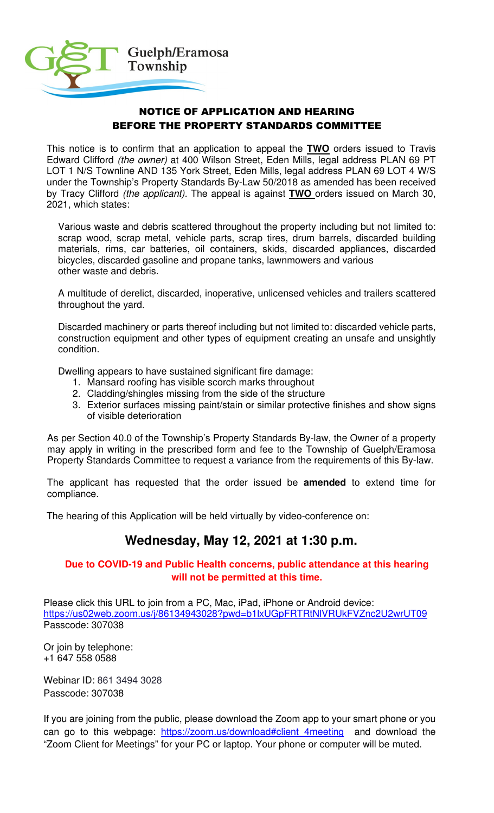

## NOTICE OF APPLICATION AND HEARING BEFORE THE PROPERTY STANDARDS COMMITTEE

This notice is to confirm that an application to appeal the **TWO** orders issued to Travis Edward Clifford (the owner) at 400 Wilson Street, Eden Mills, legal address PLAN 69 PT LOT 1 N/S Townline AND 135 York Street, Eden Mills, legal address PLAN 69 LOT 4 W/S under the Township's Property Standards By-Law 50/2018 as amended has been received by Tracy Clifford (the applicant). The appeal is against **TWO** orders issued on March 30, 2021, which states:

Various waste and debris scattered throughout the property including but not limited to: scrap wood, scrap metal, vehicle parts, scrap tires, drum barrels, discarded building materials, rims, car batteries, oil containers, skids, discarded appliances, discarded bicycles, discarded gasoline and propane tanks, lawnmowers and various other waste and debris.

A multitude of derelict, discarded, inoperative, unlicensed vehicles and trailers scattered throughout the yard.

Discarded machinery or parts thereof including but not limited to: discarded vehicle parts, construction equipment and other types of equipment creating an unsafe and unsightly condition.

Dwelling appears to have sustained significant fire damage:

- 1. Mansard roofing has visible scorch marks throughout
- 2. Cladding/shingles missing from the side of the structure
- 3. Exterior surfaces missing paint/stain or similar protective finishes and show signs of visible deterioration

As per Section 40.0 of the Township's Property Standards By-law, the Owner of a property may apply in writing in the prescribed form and fee to the Township of Guelph/Eramosa Property Standards Committee to request a variance from the requirements of this By-law.

The applicant has requested that the order issued be **amended** to extend time for compliance.

The hearing of this Application will be held virtually by video-conference on:

## **Wednesday, May 12, 2021 at 1:30 p.m.**

## **Due to COVID-19 and Public Health concerns, public attendance at this hearing will not be permitted at this time.**

Please click this URL to join from a PC, Mac, iPad, iPhone or Android device: https://us02web.zoom.us/j/86134943028?pwd=b1lxUGpFRTRtNlVRUkFVZnc2U2wrUT09 Passcode: 307038

Or join by telephone: +1 647 558 0588

Webinar ID: 861 3494 3028 Passcode: 307038

If you are joining from the public, please download the Zoom app to your smart phone or you can go to this webpage: https://zoom.us/download#client 4meeting and download the "Zoom Client for Meetings" for your PC or laptop. Your phone or computer will be muted.